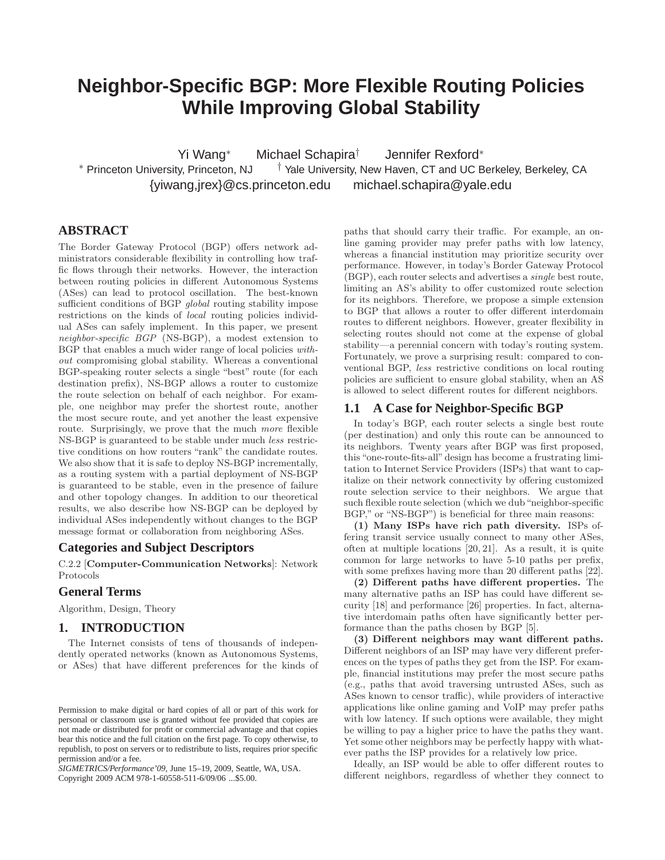# **Neighbor-Specific BGP: More Flexible Routing Policies While Improving Global Stability**

Yi Wang<sup>∗</sup> Michael Schapira† Jennifer Rexford<sup>∗</sup> ∗ Princeton University, Princeton, NJ † Yale University, New Haven, CT and UC Berkeley, Berkeley, CA {yiwang,jrex}@cs.princeton.edu michael.schapira@yale.edu

# **ABSTRACT**

The Border Gateway Protocol (BGP) offers network administrators considerable flexibility in controlling how traffic flows through their networks. However, the interaction between routing policies in different Autonomous Systems (ASes) can lead to protocol oscillation. The best-known sufficient conditions of BGP *global* routing stability impose restrictions on the kinds of *local* routing policies individual ASes can safely implement. In this paper, we present neighbor-specific BGP (NS-BGP), a modest extension to BGP that enables a much wider range of local policies without compromising global stability. Whereas a conventional BGP-speaking router selects a single "best" route (for each destination prefix), NS-BGP allows a router to customize the route selection on behalf of each neighbor. For example, one neighbor may prefer the shortest route, another the most secure route, and yet another the least expensive route. Surprisingly, we prove that the much more flexible NS-BGP is guaranteed to be stable under much less restrictive conditions on how routers "rank" the candidate routes. We also show that it is safe to deploy NS-BGP incrementally, as a routing system with a partial deployment of NS-BGP is guaranteed to be stable, even in the presence of failure and other topology changes. In addition to our theoretical results, we also describe how NS-BGP can be deployed by individual ASes independently without changes to the BGP message format or collaboration from neighboring ASes.

#### **Categories and Subject Descriptors**

C.2.2 [Computer-Communication Networks]: Network Protocols

#### **General Terms**

Algorithm, Design, Theory

#### **1. INTRODUCTION**

The Internet consists of tens of thousands of independently operated networks (known as Autonomous Systems, or ASes) that have different preferences for the kinds of

*SIGMETRICS/Performance'09,* June 15–19, 2009, Seattle, WA, USA. Copyright 2009 ACM 978-1-60558-511-6/09/06 ...\$5.00.

paths that should carry their traffic. For example, an online gaming provider may prefer paths with low latency, whereas a financial institution may prioritize security over performance. However, in today's Border Gateway Protocol (BGP), each router selects and advertises a single best route, limiting an AS's ability to offer customized route selection for its neighbors. Therefore, we propose a simple extension to BGP that allows a router to offer different interdomain routes to different neighbors. However, greater flexibility in selecting routes should not come at the expense of global stability—a perennial concern with today's routing system. Fortunately, we prove a surprising result: compared to conventional BGP, less restrictive conditions on local routing policies are sufficient to ensure global stability, when an AS is allowed to select different routes for different neighbors.

#### **1.1 A Case for Neighbor-Specific BGP**

In today's BGP, each router selects a single best route (per destination) and only this route can be announced to its neighbors. Twenty years after BGP was first proposed, this "one-route-fits-all" design has become a frustrating limitation to Internet Service Providers (ISPs) that want to capitalize on their network connectivity by offering customized route selection service to their neighbors. We argue that such flexible route selection (which we dub "neighbor-specific BGP," or "NS-BGP") is beneficial for three main reasons:

(1) Many ISPs have rich path diversity. ISPs offering transit service usually connect to many other ASes, often at multiple locations [20, 21]. As a result, it is quite common for large networks to have 5-10 paths per prefix, with some prefixes having more than 20 different paths [22].

(2) Different paths have different properties. The many alternative paths an ISP has could have different security [18] and performance [26] properties. In fact, alternative interdomain paths often have significantly better performance than the paths chosen by BGP [5].

(3) Different neighbors may want different paths. Different neighbors of an ISP may have very different preferences on the types of paths they get from the ISP. For example, financial institutions may prefer the most secure paths (e.g., paths that avoid traversing untrusted ASes, such as ASes known to censor traffic), while providers of interactive applications like online gaming and VoIP may prefer paths with low latency. If such options were available, they might be willing to pay a higher price to have the paths they want. Yet some other neighbors may be perfectly happy with whatever paths the ISP provides for a relatively low price.

Ideally, an ISP would be able to offer different routes to different neighbors, regardless of whether they connect to

Permission to make digital or hard copies of all or part of this work for personal or classroom use is granted without fee provided that copies are not made or distributed for profit or commercial advantage and that copies bear this notice and the full citation on the first page. To copy otherwise, to republish, to post on servers or to redistribute to lists, requires prior specific permission and/or a fee.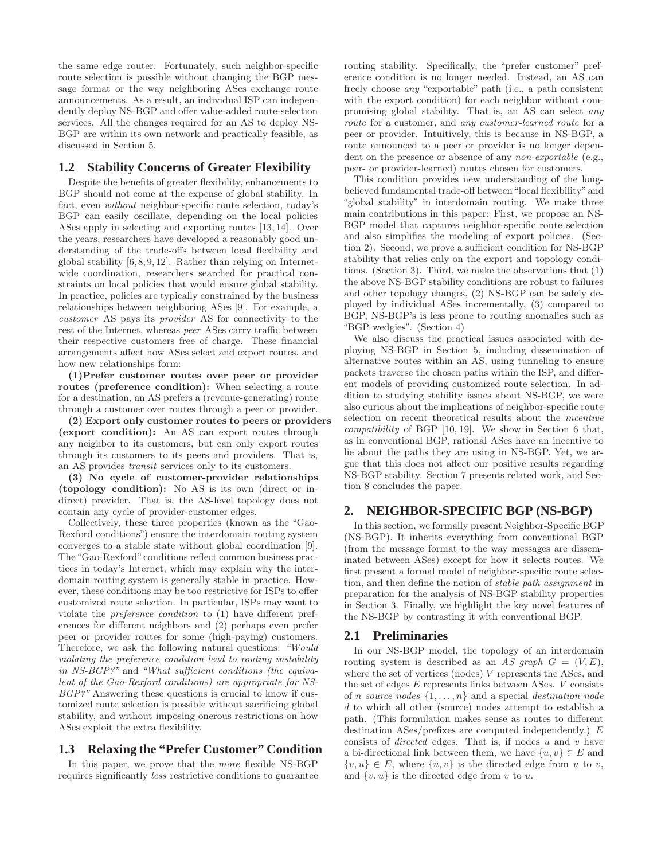the same edge router. Fortunately, such neighbor-specific route selection is possible without changing the BGP message format or the way neighboring ASes exchange route announcements. As a result, an individual ISP can independently deploy NS-BGP and offer value-added route-selection services. All the changes required for an AS to deploy NS-BGP are within its own network and practically feasible, as discussed in Section 5.

#### **1.2 Stability Concerns of Greater Flexibility**

Despite the benefits of greater flexibility, enhancements to BGP should not come at the expense of global stability. In fact, even without neighbor-specific route selection, today's BGP can easily oscillate, depending on the local policies ASes apply in selecting and exporting routes [13, 14]. Over the years, researchers have developed a reasonably good understanding of the trade-offs between local flexibility and global stability  $[6, 8, 9, 12]$ . Rather than relying on Internetwide coordination, researchers searched for practical constraints on local policies that would ensure global stability. In practice, policies are typically constrained by the business relationships between neighboring ASes [9]. For example, a customer AS pays its provider AS for connectivity to the rest of the Internet, whereas peer ASes carry traffic between their respective customers free of charge. These financial arrangements affect how ASes select and export routes, and how new relationships form:

(1)Prefer customer routes over peer or provider routes (preference condition): When selecting a route for a destination, an AS prefers a (revenue-generating) route through a customer over routes through a peer or provider.

(2) Export only customer routes to peers or providers (export condition): An AS can export routes through any neighbor to its customers, but can only export routes through its customers to its peers and providers. That is, an AS provides transit services only to its customers.

(3) No cycle of customer-provider relationships (topology condition): No AS is its own (direct or indirect) provider. That is, the AS-level topology does not contain any cycle of provider-customer edges.

Collectively, these three properties (known as the "Gao-Rexford conditions") ensure the interdomain routing system converges to a stable state without global coordination [9]. The "Gao-Rexford" conditions reflect common business practices in today's Internet, which may explain why the interdomain routing system is generally stable in practice. However, these conditions may be too restrictive for ISPs to offer customized route selection. In particular, ISPs may want to violate the preference condition to (1) have different preferences for different neighbors and (2) perhaps even prefer peer or provider routes for some (high-paying) customers. Therefore, we ask the following natural questions: "Would violating the preference condition lead to routing instability in NS-BGP?" and "What sufficient conditions (the equivalent of the Gao-Rexford conditions) are appropriate for NS-BGP?" Answering these questions is crucial to know if customized route selection is possible without sacrificing global stability, and without imposing onerous restrictions on how ASes exploit the extra flexibility.

# **1.3 Relaxing the "Prefer Customer" Condition**

In this paper, we prove that the more flexible NS-BGP requires significantly less restrictive conditions to guarantee routing stability. Specifically, the "prefer customer" preference condition is no longer needed. Instead, an AS can freely choose any "exportable" path (i.e., a path consistent with the export condition) for each neighbor without compromising global stability. That is, an AS can select any route for a customer, and any customer-learned route for a peer or provider. Intuitively, this is because in NS-BGP, a route announced to a peer or provider is no longer dependent on the presence or absence of any *non-exportable* (e.g., peer- or provider-learned) routes chosen for customers.

This condition provides new understanding of the longbelieved fundamental trade-off between "local flexibility"and "global stability" in interdomain routing. We make three main contributions in this paper: First, we propose an NS-BGP model that captures neighbor-specific route selection and also simplifies the modeling of export policies. (Section 2). Second, we prove a sufficient condition for NS-BGP stability that relies only on the export and topology conditions. (Section 3). Third, we make the observations that (1) the above NS-BGP stability conditions are robust to failures and other topology changes, (2) NS-BGP can be safely deployed by individual ASes incrementally, (3) compared to BGP, NS-BGP's is less prone to routing anomalies such as "BGP wedgies". (Section 4)

We also discuss the practical issues associated with deploying NS-BGP in Section 5, including dissemination of alternative routes within an AS, using tunneling to ensure packets traverse the chosen paths within the ISP, and different models of providing customized route selection. In addition to studying stability issues about NS-BGP, we were also curious about the implications of neighbor-specific route selection on recent theoretical results about the incentive compatibility of BGP [10, 19]. We show in Section 6 that, as in conventional BGP, rational ASes have an incentive to lie about the paths they are using in NS-BGP. Yet, we argue that this does not affect our positive results regarding NS-BGP stability. Section 7 presents related work, and Section 8 concludes the paper.

# **2. NEIGHBOR-SPECIFIC BGP (NS-BGP)**

In this section, we formally present Neighbor-Specific BGP (NS-BGP). It inherits everything from conventional BGP (from the message format to the way messages are disseminated between ASes) except for how it selects routes. We first present a formal model of neighbor-specific route selection, and then define the notion of stable path assignment in preparation for the analysis of NS-BGP stability properties in Section 3. Finally, we highlight the key novel features of the NS-BGP by contrasting it with conventional BGP.

#### **2.1 Preliminaries**

In our NS-BGP model, the topology of an interdomain routing system is described as an AS graph  $G = (V, E)$ , where the set of vertices (nodes) V represents the ASes, and the set of edges E represents links between ASes. V consists of *n* source nodes  $\{1, \ldots, n\}$  and a special destination node d to which all other (source) nodes attempt to establish a path. (This formulation makes sense as routes to different destination ASes/prefixes are computed independently.) E consists of *directed* edges. That is, if nodes  $u$  and  $v$  have a bi-directional link between them, we have  $\{u, v\} \in E$  and  $\{v, u\} \in E$ , where  $\{u, v\}$  is the directed edge from u to v, and  $\{v, u\}$  is the directed edge from v to u.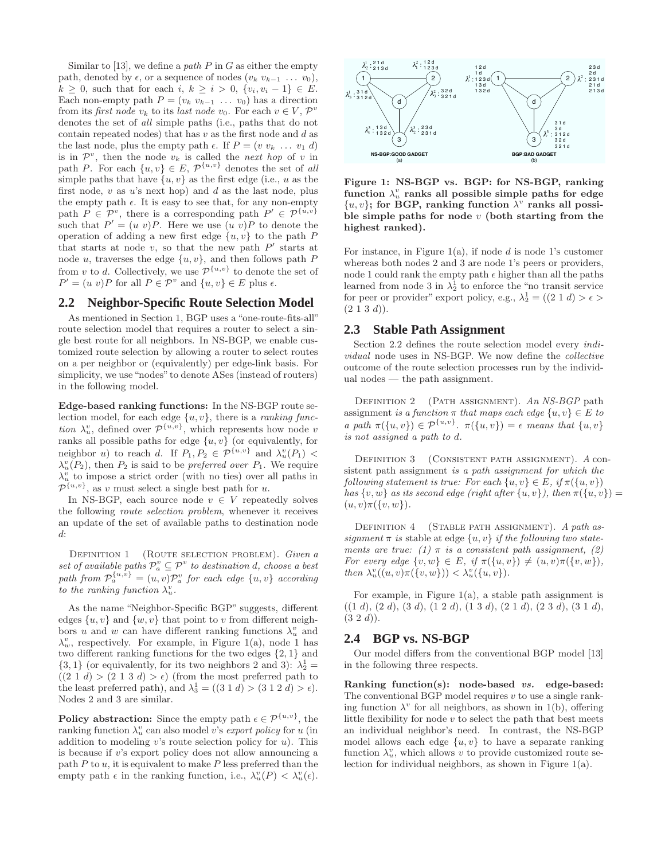Similar to [13], we define a path  $P$  in  $G$  as either the empty path, denoted by  $\epsilon$ , or a sequence of nodes  $(v_k \ v_{k-1} \dots v_0)$ ,  $k \geq 0$ , such that for each i,  $k \geq i > 0$ ,  $\{v_i, v_i - 1\} \in E$ . Each non-empty path  $P = (v_k v_{k-1} \dots v_0)$  has a direction from its *first node*  $v_k$  to its *last node*  $v_0$ . For each  $v \in V$ ,  $\mathcal{P}^v$ denotes the set of all simple paths (i.e., paths that do not contain repeated nodes) that has  $v$  as the first node and  $d$  as the last node, plus the empty path  $\epsilon$ . If  $P = (v \, v_k \, \ldots \, v_1 \, d)$ is in  $\mathcal{P}^v$ , then the node  $v_k$  is called the *next hop* of v in path P. For each  $\{u, v\} \in E$ ,  $\mathcal{P}^{\{u, v\}}$  denotes the set of all simple paths that have  $\{u, v\}$  as the first edge (i.e., u as the first node,  $v$  as  $u$ 's next hop) and  $d$  as the last node, plus the empty path  $\epsilon$ . It is easy to see that, for any non-empty path  $P \in \mathcal{P}^v$ , there is a corresponding path  $P' \in \mathcal{P}^{\{u,v\}}$ such that  $P' = (u \ v)P$ . Here we use  $(u \ v)P$  to denote the operation of adding a new first edge  $\{u, v\}$  to the path P that starts at node  $v$ , so that the new path  $P'$  starts at node  $u$ , traverses the edge  $\{u, v\}$ , and then follows path  $P$ from v to d. Collectively, we use  $\mathcal{P}^{\{u,v\}}$  to denote the set of  $P' = (u \ v)P$  for all  $P \in \mathcal{P}^v$  and  $\{u, v\} \in E$  plus  $\epsilon$ .

#### **2.2 Neighbor-Specific Route Selection Model**

As mentioned in Section 1, BGP uses a "one-route-fits-all" route selection model that requires a router to select a single best route for all neighbors. In NS-BGP, we enable customized route selection by allowing a router to select routes on a per neighbor or (equivalently) per edge-link basis. For simplicity, we use "nodes" to denote ASes (instead of routers) in the following model.

Edge-based ranking functions: In the NS-BGP route selection model, for each edge  $\{u, v\}$ , there is a *ranking function*  $\lambda_u^v$ , defined over  $\mathcal{P}^{\{u,v\}}$ , which represents how node v ranks all possible paths for edge  $\{u, v\}$  (or equivalently, for neighbor u) to reach d. If  $P_1, P_2 \in \mathcal{P}^{\{u,v\}}$  and  $\lambda_u^v(P_1)$  <  $\lambda_u^v(P_2)$ , then  $P_2$  is said to be *preferred over*  $P_1$ . We require  $\lambda_u^v$  to impose a strict order (with no ties) over all paths in  $\mathcal{P}^{\{u,v\}}$ , as v must select a single best path for u.

In NS-BGP, each source node  $v \in V$  repeatedly solves the following route selection problem, whenever it receives an update of the set of available paths to destination node  $d$ :

DEFINITION 1 (ROUTE SELECTION PROBLEM). Given a set of available paths  $\mathcal{P}_{a}^{v} \subseteq \mathcal{P}^{v}$  to destination d, choose a best path from  $\mathcal{P}_a^{\{u,v\}} = (u, v)\mathcal{P}_a^v$  for each edge  $\{u, v\}$  according to the ranking function  $\lambda_u^v$ .

As the name "Neighbor-Specific BGP" suggests, different edges  $\{u, v\}$  and  $\{w, v\}$  that point to v from different neighbors u and w can have different ranking functions  $\lambda_u^v$  and  $\lambda_w^v$ , respectively. For example, in Figure 1(a), node 1 has two different ranking functions for the two edges {2, 1} and  $\{3, 1\}$  (or equivalently, for its two neighbors 2 and 3):  $\lambda_2^1 =$  $((2 1 d) > (2 1 3 d) > \epsilon)$  (from the most preferred path to the least preferred path), and  $\lambda_3^1 = ((3 \ 1 \ d) > (3 \ 1 \ 2 \ d) > \epsilon)$ . Nodes 2 and 3 are similar.

**Policy abstraction:** Since the empty path  $\epsilon \in \mathcal{P}^{\{u,v\}}$ , the ranking function  $\lambda_u^v$  can also model v's export policy for u (in addition to modeling v's route selection policy for  $u$ ). This is because if v's export policy does not allow announcing a path  $P$  to  $u$ , it is equivalent to make  $P$  less preferred than the empty path  $\epsilon$  in the ranking function, i.e.,  $\lambda_u^v(P) < \lambda_u^v(\epsilon)$ .



Figure 1: NS-BGP vs. BGP: for NS-BGP, ranking function  $\lambda_u^v$  ranks all possible simple paths for edge  $\{u, v\}$ ; for BGP, ranking function  $\lambda^v$  ranks all possible simple paths for node  $v$  (both starting from the highest ranked).

For instance, in Figure 1(a), if node  $d$  is node 1's customer whereas both nodes 2 and 3 are node 1's peers or providers, node 1 could rank the empty path  $\epsilon$  higher than all the paths learned from node 3 in  $\lambda_2^1$  to enforce the "no transit service for peer or provider" export policy, e.g.,  $\lambda_2^1 = (2 \ 1 \ d) > \epsilon >$  $(2 1 3 d)$ .

#### **2.3 Stable Path Assignment**

Section 2.2 defines the route selection model every individual node uses in NS-BGP. We now define the collective outcome of the route selection processes run by the individual nodes — the path assignment.

DEFINITION 2 (PATH ASSIGNMENT). An  $NS-BGP$  path assignment is a function  $\pi$  that maps each edge  $\{u, v\} \in E$  to a path  $\pi(\lbrace u, v \rbrace) \in \mathcal{P}^{\lbrace u, v \rbrace}$ .  $\pi(\lbrace u, v \rbrace) = \epsilon$  means that  $\lbrace u, v \rbrace$ is not assigned a path to d.

DEFINITION 3 (CONSISTENT PATH ASSIGNMENT). A consistent path assignment is a path assignment for which the following statement is true: For each  $\{u, v\} \in E$ , if  $\pi(\{u, v\})$ has  $\{v, w\}$  as its second edge (right after  $\{u, v\}$ ), then  $\pi(\{u, v\}) =$  $(u, v)\pi({v, w}).$ 

DEFINITION 4 (STABLE PATH ASSIGNMENT). A path assignment  $\pi$  is stable at edge  $\{u, v\}$  if the following two statements are true: (1)  $\pi$  is a consistent path assignment, (2) For every edge  $\{v, w\} \in E$ , if  $\pi(\{u, v\}) \neq (u, v)\pi(\{v, w\}),$ then  $\lambda_u^v((u, v)\pi(\{v, w\})) < \lambda_u^v(\{u, v\}).$ 

For example, in Figure  $1(a)$ , a stable path assignment is  $((1 d), (2 d), (3 d), (1 2 d), (1 3 d), (2 1 d), (2 3 d), (3 1 d),$  $(3\;2\;d)$ ).

#### **2.4 BGP vs. NS-BGP**

Our model differs from the conventional BGP model [13] in the following three respects.

Ranking function(s): node-based vs. edge-based: The conventional BGP model requires  $v$  to use a single ranking function  $\lambda^v$  for all neighbors, as shown in 1(b), offering little flexibility for node  $v$  to select the path that best meets an individual neighbor's need. In contrast, the NS-BGP model allows each edge  $\{u, v\}$  to have a separate ranking function  $\lambda_u^v$ , which allows v to provide customized route selection for individual neighbors, as shown in Figure 1(a).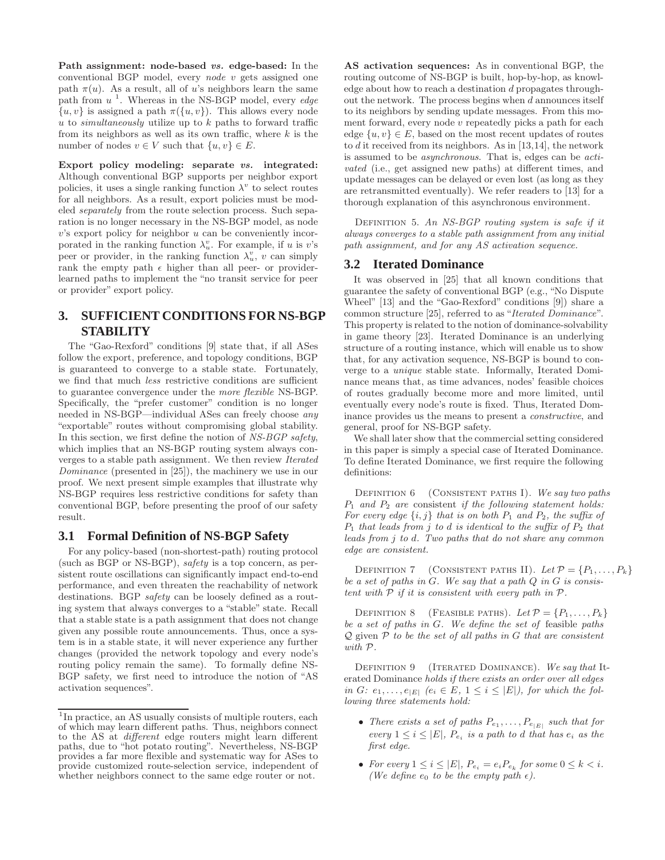Path assignment: node-based vs. edge-based: In the conventional BGP model, every node v gets assigned one path  $\pi(u)$ . As a result, all of u's neighbors learn the same path from  $u^{-1}$ . Whereas in the NS-BGP model, every *edge*  $\{u, v\}$  is assigned a path  $\pi(\{u, v\})$ . This allows every node u to simultaneously utilize up to  $k$  paths to forward traffic from its neighbors as well as its own traffic, where  $k$  is the number of nodes  $v \in V$  such that  $\{u, v\} \in E$ .

Export policy modeling: separate vs. integrated: Although conventional BGP supports per neighbor export policies, it uses a single ranking function  $\lambda^v$  to select routes for all neighbors. As a result, export policies must be modeled separately from the route selection process. Such separation is no longer necessary in the NS-BGP model, as node  $v$ 's export policy for neighbor  $u$  can be conveniently incorporated in the ranking function  $\lambda_u^v$ . For example, if u is v's peer or provider, in the ranking function  $\lambda_u^v$ , v can simply rank the empty path  $\epsilon$  higher than all peer- or providerlearned paths to implement the "no transit service for peer or provider" export policy.

# **3. SUFFICIENT CONDITIONS FOR NS-BGP STABILITY**

The "Gao-Rexford" conditions [9] state that, if all ASes follow the export, preference, and topology conditions, BGP is guaranteed to converge to a stable state. Fortunately, we find that much less restrictive conditions are sufficient to guarantee convergence under the more flexible NS-BGP. Specifically, the "prefer customer" condition is no longer needed in NS-BGP—individual ASes can freely choose any "exportable" routes without compromising global stability. In this section, we first define the notion of NS-BGP safety, which implies that an NS-BGP routing system always converges to a stable path assignment. We then review Iterated Dominance (presented in [25]), the machinery we use in our proof. We next present simple examples that illustrate why NS-BGP requires less restrictive conditions for safety than conventional BGP, before presenting the proof of our safety result.

#### **3.1 Formal Definition of NS-BGP Safety**

For any policy-based (non-shortest-path) routing protocol (such as BGP or NS-BGP), safety is a top concern, as persistent route oscillations can significantly impact end-to-end performance, and even threaten the reachability of network destinations. BGP safety can be loosely defined as a routing system that always converges to a "stable" state. Recall that a stable state is a path assignment that does not change given any possible route announcements. Thus, once a system is in a stable state, it will never experience any further changes (provided the network topology and every node's routing policy remain the same). To formally define NS-BGP safety, we first need to introduce the notion of "AS activation sequences".

AS activation sequences: As in conventional BGP, the routing outcome of NS-BGP is built, hop-by-hop, as knowledge about how to reach a destination d propagates throughout the network. The process begins when  $d$  announces itself to its neighbors by sending update messages. From this moment forward, every node v repeatedly picks a path for each edge  $\{u, v\} \in E$ , based on the most recent updates of routes to  $d$  it received from its neighbors. As in [13,14], the network is assumed to be asynchronous. That is, edges can be activated (i.e., get assigned new paths) at different times, and update messages can be delayed or even lost (as long as they are retransmitted eventually). We refer readers to [13] for a thorough explanation of this asynchronous environment.

DEFINITION 5. An  $NS-BGP$  routing system is safe if it always converges to a stable path assignment from any initial path assignment, and for any AS activation sequence.

# **3.2 Iterated Dominance**

It was observed in [25] that all known conditions that guarantee the safety of conventional BGP (e.g., "No Dispute Wheel" [13] and the "Gao-Rexford" conditions [9]) share a common structure [25], referred to as "Iterated Dominance". This property is related to the notion of dominance-solvability in game theory [23]. Iterated Dominance is an underlying structure of a routing instance, which will enable us to show that, for any activation sequence, NS-BGP is bound to converge to a unique stable state. Informally, Iterated Dominance means that, as time advances, nodes' feasible choices of routes gradually become more and more limited, until eventually every node's route is fixed. Thus, Iterated Dominance provides us the means to present a constructive, and general, proof for NS-BGP safety.

We shall later show that the commercial setting considered in this paper is simply a special case of Iterated Dominance. To define Iterated Dominance, we first require the following definitions:

DEFINITION  $6$  (CONSISTENT PATHS I). We say two paths  $P_1$  and  $P_2$  are consistent if the following statement holds: For every edge  $\{i, j\}$  that is on both  $P_1$  and  $P_2$ , the suffix of  $P_1$  that leads from j to d is identical to the suffix of  $P_2$  that leads from j to d. Two paths that do not share any common edge are consistent.

DEFINITION 7 (CONSISTENT PATHS II). Let  $\mathcal{P} = \{P_1, \ldots, P_k\}$ be a set of paths in  $G$ . We say that a path  $Q$  in  $G$  is consistent with  $P$  if it is consistent with every path in  $P$ .

DEFINITION 8 (FEASIBLE PATHS). Let  $\mathcal{P} = \{P_1, \ldots, P_k\}$ be a set of paths in G. We define the set of feasible paths  $\mathcal Q$  given  $\mathcal P$  to be the set of all paths in  $G$  that are consistent with P.

DEFINITION 9 (ITERATED DOMINANCE). We say that Iterated Dominance holds if there exists an order over all edges in G:  $e_1, \ldots, e_{|E|}$   $(e_i \in E, 1 \leq i \leq |E|)$ , for which the following three statements hold:

- There exists a set of paths  $P_{e_1}, \ldots, P_{e_{|E|}}$  such that for every  $1 \leq i \leq |E|$ ,  $P_{e_i}$  is a path to d that has  $e_i$  as the first edge.
- For every  $1 \leq i \leq |E|$ ,  $P_{e_i} = e_i P_{e_k}$  for some  $0 \leq k < i$ . (We define  $e_0$  to be the empty path  $\epsilon$ ).

<sup>&</sup>lt;sup>1</sup>In practice, an AS usually consists of multiple routers, each of which may learn different paths. Thus, neighbors connect to the AS at different edge routers might learn different paths, due to "hot potato routing". Nevertheless, NS-BGP provides a far more flexible and systematic way for ASes to provide customized route-selection service, independent of whether neighbors connect to the same edge router or not.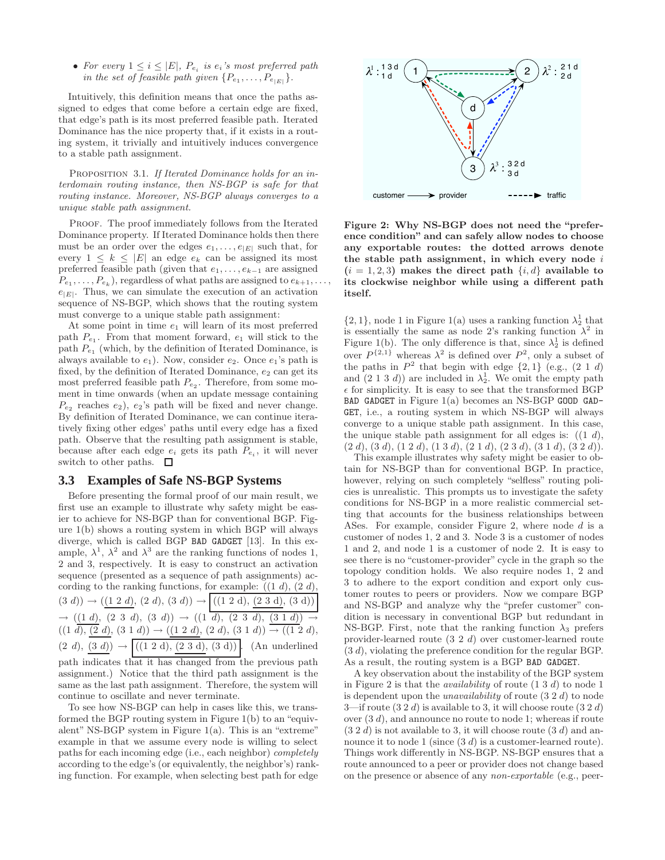• For every  $1 \leq i \leq |E|$ ,  $P_{e_i}$  is  $e_i$ 's most preferred path in the set of feasible path given  $\{P_{e_1}, \ldots, P_{e_{|E|}}\}.$ 

Intuitively, this definition means that once the paths assigned to edges that come before a certain edge are fixed, that edge's path is its most preferred feasible path. Iterated Dominance has the nice property that, if it exists in a routing system, it trivially and intuitively induces convergence to a stable path assignment.

PROPOSITION 3.1. If Iterated Dominance holds for an interdomain routing instance, then NS-BGP is safe for that routing instance. Moreover, NS-BGP always converges to a unique stable path assignment.

PROOF. The proof immediately follows from the Iterated Dominance property. If Iterated Dominance holds then there must be an order over the edges  $e_1, \ldots, e_{|E|}$  such that, for every  $1 \leq k \leq |E|$  an edge  $e_k$  can be assigned its most preferred feasible path (given that  $e_1, \ldots, e_{k-1}$  are assigned  $P_{e_1}, \ldots, P_{e_k}$ , regardless of what paths are assigned to  $e_{k+1}, \ldots$ ,  $e_{|E|}$ . Thus, we can simulate the execution of an activation sequence of NS-BGP, which shows that the routing system must converge to a unique stable path assignment:

At some point in time  $e_1$  will learn of its most preferred path  $P_{e_1}$ . From that moment forward,  $e_1$  will stick to the path  $P_{e_1}$  (which, by the definition of Iterated Dominance, is always available to  $e_1$ ). Now, consider  $e_2$ . Once  $e_1$ 's path is fixed, by the definition of Iterated Dominance,  $e_2$  can get its most preferred feasible path  $P_{e_2}$ . Therefore, from some moment in time onwards (when an update message containing  $P_{e_2}$  reaches  $e_2$ ),  $e_2$ 's path will be fixed and never change. By definition of Iterated Dominance, we can continue iteratively fixing other edges' paths until every edge has a fixed path. Observe that the resulting path assignment is stable, because after each edge  $e_i$  gets its path  $P_{e_i}$ , it will never switch to other paths.  $\square$ 

#### **3.3 Examples of Safe NS-BGP Systems**

Before presenting the formal proof of our main result, we first use an example to illustrate why safety might be easier to achieve for NS-BGP than for conventional BGP. Figure 1(b) shows a routing system in which BGP will always diverge, which is called BGP BAD GADGET [13]. In this example,  $\lambda^1$ ,  $\lambda^2$  and  $\lambda^3$  are the ranking functions of nodes 1, 2 and 3, respectively. It is easy to construct an activation sequence (presented as a sequence of path assignments) according to the ranking functions, for example:  $((1 d), (2 d),$  $(3 d)) \rightarrow ((1 2 d), (2 d), (3 d)) \rightarrow (((1 2 d), (2 3 d), (3 d))$  $\rightarrow$  ((1 d), (2 3 d), (3 d))  $\rightarrow$  ((1 d), (2 3 d), (3 1 d))  $\rightarrow$  $((1 \overline{d}), (2 \overline{d}), (3 \overline{1} \overline{d})) \rightarrow ((1 \overline{2} \overline{d}), (2 \overline{d}), (3 \overline{1} \overline{d})) \rightarrow ((1 \overline{2} \overline{d}),$  $(2 d), (3 d)) \rightarrow ((1 2 d), (2 3 d), (3 d)).$  (An underlined path indicates that it has changed from the previous path assignment.) Notice that the third path assignment is the same as the last path assignment. Therefore, the system will

continue to oscillate and never terminate. To see how NS-BGP can help in cases like this, we transformed the BGP routing system in Figure 1(b) to an "equivalent" NS-BGP system in Figure 1(a). This is an "extreme" example in that we assume every node is willing to select paths for each incoming edge (i.e., each neighbor) completely according to the edge's (or equivalently, the neighbor's) ranking function. For example, when selecting best path for edge



Figure 2: Why NS-BGP does not need the "preference condition" and can safely allow nodes to choose any exportable routes: the dotted arrows denote the stable path assignment, in which every node  $i$  $(i = 1, 2, 3)$  makes the direct path  $\{i, d\}$  available to its clockwise neighbor while using a different path itself.

 $\{2, 1\}$ , node 1 in Figure 1(a) uses a ranking function  $\lambda_2^1$  that is essentially the same as node 2's ranking function  $\lambda^2$  in Figure 1(b). The only difference is that, since  $\lambda_2^1$  is defined over  $P^{\{2,1\}}$  whereas  $\lambda^2$  is defined over  $P^2$ , only a subset of the paths in  $P^2$  that begin with edge  $\{2, 1\}$  (e.g.,  $(2 \ 1 \ d)$ ) and  $(2 1 3 d)$  are included in  $\lambda_2^1$ . We omit the empty path  $\epsilon$  for simplicity. It is easy to see that the transformed BGP BAD GADGET in Figure  $1(a)$  becomes an NS-BGP GOOD GAD-GET, i.e., a routing system in which NS-BGP will always converge to a unique stable path assignment. In this case, the unique stable path assignment for all edges is:  $((1 d),$  $(2 d), (3 d), (1 2 d), (1 3 d), (2 1 d), (2 3 d), (3 1 d), (3 2 d).$ 

This example illustrates why safety might be easier to obtain for NS-BGP than for conventional BGP. In practice, however, relying on such completely "selfless" routing policies is unrealistic. This prompts us to investigate the safety conditions for NS-BGP in a more realistic commercial setting that accounts for the business relationships between ASes. For example, consider Figure 2, where node d is a customer of nodes 1, 2 and 3. Node 3 is a customer of nodes 1 and 2, and node 1 is a customer of node 2. It is easy to see there is no "customer-provider" cycle in the graph so the topology condition holds. We also require nodes 1, 2 and 3 to adhere to the export condition and export only customer routes to peers or providers. Now we compare BGP and NS-BGP and analyze why the "prefer customer" condition is necessary in conventional BGP but redundant in NS-BGP. First, note that the ranking function  $\lambda_3$  prefers provider-learned route (3 2 d) over customer-learned route (3 d), violating the preference condition for the regular BGP. As a result, the routing system is a BGP BAD GADGET.

A key observation about the instability of the BGP system in Figure 2 is that the *availability* of route  $(1 3 d)$  to node 1 is dependent upon the *unavailability* of route  $(3\ 2\ d)$  to node 3—if route  $(3\ 2\ d)$  is available to 3, it will choose route  $(3\ 2\ d)$ over (3 d), and announce no route to node 1; whereas if route  $(3 2 d)$  is not available to 3, it will choose route  $(3 d)$  and announce it to node 1 (since  $(3 d)$  is a customer-learned route). Things work differently in NS-BGP. NS-BGP ensures that a route announced to a peer or provider does not change based on the presence or absence of any non-exportable (e.g., peer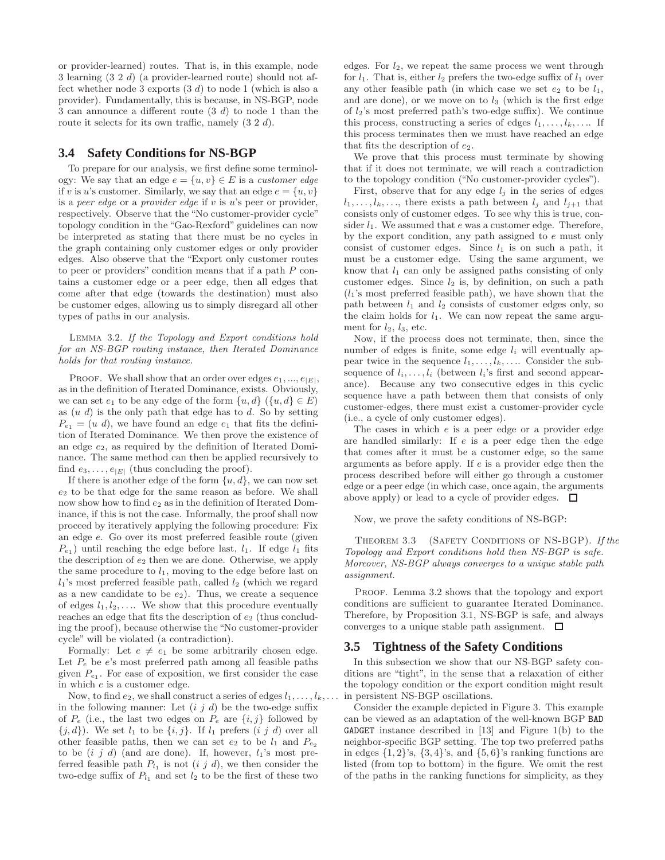or provider-learned) routes. That is, in this example, node 3 learning (3 2 d) (a provider-learned route) should not affect whether node 3 exports  $(3 d)$  to node 1 (which is also a provider). Fundamentally, this is because, in NS-BGP, node 3 can announce a different route  $(3 d)$  to node 1 than the route it selects for its own traffic, namely (3 2 d).

#### **3.4 Safety Conditions for NS-BGP**

To prepare for our analysis, we first define some terminology: We say that an edge  $e = \{u, v\} \in E$  is a *customer edge* if v is u's customer. Similarly, we say that an edge  $e = \{u, v\}$ is a peer edge or a provider edge if  $v$  is  $u$ 's peer or provider, respectively. Observe that the "No customer-provider cycle" topology condition in the "Gao-Rexford" guidelines can now be interpreted as stating that there must be no cycles in the graph containing only customer edges or only provider edges. Also observe that the "Export only customer routes to peer or providers" condition means that if a path P contains a customer edge or a peer edge, then all edges that come after that edge (towards the destination) must also be customer edges, allowing us to simply disregard all other types of paths in our analysis.

Lemma 3.2. If the Topology and Export conditions hold for an NS-BGP routing instance, then Iterated Dominance holds for that routing instance.

PROOF. We shall show that an order over edges  $e_1, ..., e_{|E|}$ , as in the definition of Iterated Dominance, exists. Obviously, we can set  $e_1$  to be any edge of the form  $\{u, d\}$   $(\{u, d\} \in E)$ as  $(u, d)$  is the only path that edge has to  $d$ . So by setting  $P_{e_1} = (u, d)$ , we have found an edge  $e_1$  that fits the definition of Iterated Dominance. We then prove the existence of an edge  $e_2$ , as required by the definition of Iterated Dominance. The same method can then be applied recursively to find  $e_3, \ldots, e_{|E|}$  (thus concluding the proof).

If there is another edge of the form  $\{u, d\}$ , we can now set  $e_2$  to be that edge for the same reason as before. We shall now show how to find  $e_2$  as in the definition of Iterated Dominance, if this is not the case. Informally, the proof shall now proceed by iteratively applying the following procedure: Fix an edge e. Go over its most preferred feasible route (given  $P_{e_1}$ ) until reaching the edge before last,  $l_1$ . If edge  $l_1$  fits the description of  $e_2$  then we are done. Otherwise, we apply the same procedure to  $l_1$ , moving to the edge before last on  $l_1$ 's most preferred feasible path, called  $l_2$  (which we regard as a new candidate to be  $e_2$ ). Thus, we create a sequence of edges  $l_1, l_2, \ldots$  We show that this procedure eventually reaches an edge that fits the description of  $e_2$  (thus concluding the proof), because otherwise the "No customer-provider cycle" will be violated (a contradiction).

Formally: Let  $e \neq e_1$  be some arbitrarily chosen edge. Let  $P_e$  be  $e$ 's most preferred path among all feasible paths given  $P_{e_1}$ . For ease of exposition, we first consider the case in which e is a customer edge.

Now, to find  $e_2$ , we shall construct a series of edges  $l_1, \ldots, l_k, \ldots$ in the following manner: Let  $(i \, j \, d)$  be the two-edge suffix of  $P_e$  (i.e., the last two edges on  $P_e$  are  $\{i, j\}$  followed by  ${j, d}$ ). We set  $l_1$  to be  ${i, j}$ . If  $l_1$  prefers  $(i j d)$  over all other feasible paths, then we can set  $e_2$  to be  $l_1$  and  $P_{e_2}$ to be  $(i j d)$  (and are done). If, however,  $l_1$ 's most preferred feasible path  $P_{l_1}$  is not  $(i j d)$ , we then consider the two-edge suffix of  $P_{l_1}$  and set  $l_2$  to be the first of these two

edges. For  $l_2$ , we repeat the same process we went through for  $l_1$ . That is, either  $l_2$  prefers the two-edge suffix of  $l_1$  over any other feasible path (in which case we set  $e_2$  to be  $l_1$ , and are done), or we move on to  $l_3$  (which is the first edge of  $l_2$ 's most preferred path's two-edge suffix). We continue this process, constructing a series of edges  $l_1, \ldots, l_k, \ldots$  If this process terminates then we must have reached an edge that fits the description of  $e_2$ .

We prove that this process must terminate by showing that if it does not terminate, we will reach a contradiction to the topology condition ("No customer-provider cycles").

First, observe that for any edge  $l_j$  in the series of edges  $l_1, \ldots, l_k, \ldots$ , there exists a path between  $l_j$  and  $l_{j+1}$  that consists only of customer edges. To see why this is true, consider  $l_1$ . We assumed that  $e$  was a customer edge. Therefore, by the export condition, any path assigned to e must only consist of customer edges. Since  $l_1$  is on such a path, it must be a customer edge. Using the same argument, we know that  $l_1$  can only be assigned paths consisting of only customer edges. Since  $l_2$  is, by definition, on such a path  $(l_1)$ 's most preferred feasible path), we have shown that the path between  $l_1$  and  $l_2$  consists of customer edges only, so the claim holds for  $l_1$ . We can now repeat the same argument for  $l_2$ ,  $l_3$ , etc.

Now, if the process does not terminate, then, since the number of edges is finite, some edge  $l_i$  will eventually appear twice in the sequence  $l_1, \ldots, l_k, \ldots$  Consider the subsequence of  $l_i, \ldots, l_i$  (between  $l_i$ 's first and second appearance). Because any two consecutive edges in this cyclic sequence have a path between them that consists of only customer-edges, there must exist a customer-provider cycle (i.e., a cycle of only customer edges).

The cases in which e is a peer edge or a provider edge are handled similarly: If  $e$  is a peer edge then the edge that comes after it must be a customer edge, so the same arguments as before apply. If e is a provider edge then the process described before will either go through a customer edge or a peer edge (in which case, once again, the arguments above apply) or lead to a cycle of provider edges.  $\Box$ 

Now, we prove the safety conditions of NS-BGP:

THEOREM 3.3 (SAFETY CONDITIONS OF NS-BGP). If the Topology and Export conditions hold then NS-BGP is safe. Moreover, NS-BGP always converges to a unique stable path assignment.

PROOF. Lemma 3.2 shows that the topology and export conditions are sufficient to guarantee Iterated Dominance. Therefore, by Proposition 3.1, NS-BGP is safe, and always converges to a unique stable path assignment.  $\Box$ 

### **3.5 Tightness of the Safety Conditions**

In this subsection we show that our NS-BGP safety conditions are "tight", in the sense that a relaxation of either the topology condition or the export condition might result in persistent NS-BGP oscillations.

Consider the example depicted in Figure 3. This example can be viewed as an adaptation of the well-known BGP BAD GADGET instance described in [13] and Figure 1(b) to the neighbor-specific BGP setting. The top two preferred paths in edges  $\{1, 2\}$ 's,  $\{3, 4\}$ 's, and  $\{5, 6\}$ 's ranking functions are listed (from top to bottom) in the figure. We omit the rest of the paths in the ranking functions for simplicity, as they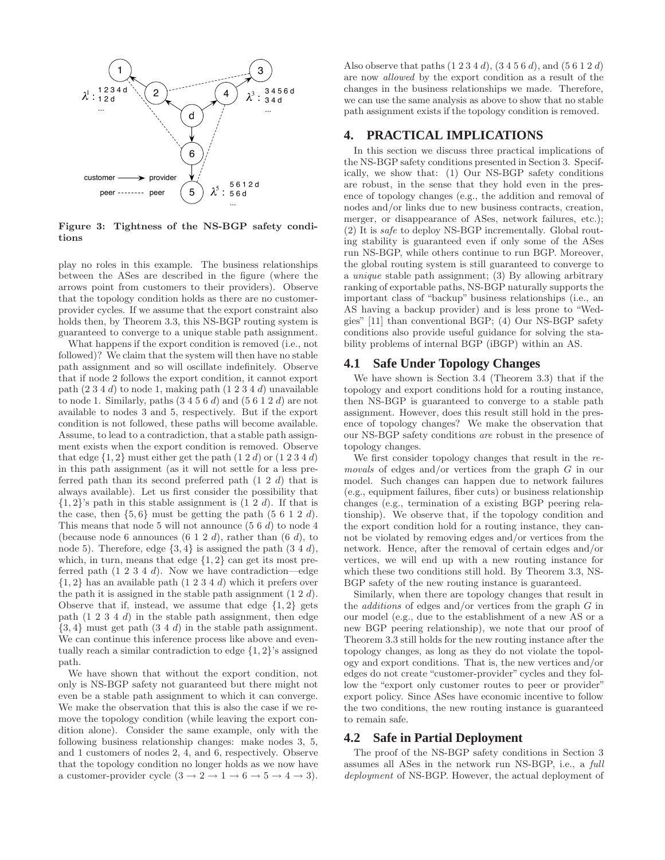

Figure 3: Tightness of the NS-BGP safety conditions

play no roles in this example. The business relationships between the ASes are described in the figure (where the arrows point from customers to their providers). Observe that the topology condition holds as there are no customerprovider cycles. If we assume that the export constraint also holds then, by Theorem 3.3, this NS-BGP routing system is guaranteed to converge to a unique stable path assignment.

What happens if the export condition is removed (i.e., not followed)? We claim that the system will then have no stable path assignment and so will oscillate indefinitely. Observe that if node 2 follows the export condition, it cannot export path  $(2\ 3\ 4\ d)$  to node 1, making path  $(1\ 2\ 3\ 4\ d)$  unavailable to node 1. Similarly, paths  $(3\ 4\ 5\ 6\ d)$  and  $(5\ 6\ 1\ 2\ d)$  are not available to nodes 3 and 5, respectively. But if the export condition is not followed, these paths will become available. Assume, to lead to a contradiction, that a stable path assignment exists when the export condition is removed. Observe that edge  $\{1, 2\}$  must either get the path  $(1\ 2\ d)$  or  $(1\ 2\ 3\ 4\ d)$ in this path assignment (as it will not settle for a less preferred path than its second preferred path  $(1\ 2\ d)$  that is always available). Let us first consider the possibility that  $\{1,2\}$ 's path in this stable assignment is  $(1\ 2\ d)$ . If that is the case, then  $\{5, 6\}$  must be getting the path  $(5\ 6\ 1\ 2\ d)$ . This means that node 5 will not announce  $(5\ 6\ d)$  to node 4 (because node 6 announces  $(6 1 2 d)$ , rather than  $(6 d)$ , to node 5). Therefore, edge  $\{3, 4\}$  is assigned the path  $(3, 4, d)$ , which, in turn, means that edge  $\{1, 2\}$  can get its most preferred path  $(1\ 2\ 3\ 4\ d)$ . Now we have contradiction—edge  $\{1, 2\}$  has an available path  $(1\ 2\ 3\ 4\ d)$  which it prefers over the path it is assigned in the stable path assignment  $(1\ 2\ d)$ . Observe that if, instead, we assume that edge  $\{1, 2\}$  gets path  $(1\ 2\ 3\ 4\ d)$  in the stable path assignment, then edge  $\{3, 4\}$  must get path  $(3, 4, d)$  in the stable path assignment. We can continue this inference process like above and eventually reach a similar contradiction to edge {1, 2}'s assigned path.

We have shown that without the export condition, not only is NS-BGP safety not guaranteed but there might not even be a stable path assignment to which it can converge. We make the observation that this is also the case if we remove the topology condition (while leaving the export condition alone). Consider the same example, only with the following business relationship changes: make nodes 3, 5, and 1 customers of nodes 2, 4, and 6, respectively. Observe that the topology condition no longer holds as we now have a customer-provider cycle  $(3 \rightarrow 2 \rightarrow 1 \rightarrow 6 \rightarrow 5 \rightarrow 4 \rightarrow 3)$ .

Also observe that paths  $(1\ 2\ 3\ 4\ d)$ ,  $(3\ 4\ 5\ 6\ d)$ , and  $(5\ 6\ 1\ 2\ d)$ are now allowed by the export condition as a result of the changes in the business relationships we made. Therefore, we can use the same analysis as above to show that no stable path assignment exists if the topology condition is removed.

## **4. PRACTICAL IMPLICATIONS**

In this section we discuss three practical implications of the NS-BGP safety conditions presented in Section 3. Specifically, we show that: (1) Our NS-BGP safety conditions are robust, in the sense that they hold even in the presence of topology changes (e.g., the addition and removal of nodes and/or links due to new business contracts, creation, merger, or disappearance of ASes, network failures, etc.); (2) It is safe to deploy NS-BGP incrementally. Global routing stability is guaranteed even if only some of the ASes run NS-BGP, while others continue to run BGP. Moreover, the global routing system is still guaranteed to converge to a unique stable path assignment; (3) By allowing arbitrary ranking of exportable paths, NS-BGP naturally supports the important class of "backup" business relationships (i.e., an AS having a backup provider) and is less prone to "Wedgies" [11] than conventional BGP; (4) Our NS-BGP safety conditions also provide useful guidance for solving the stability problems of internal BGP (iBGP) within an AS.

## **4.1 Safe Under Topology Changes**

We have shown is Section 3.4 (Theorem 3.3) that if the topology and export conditions hold for a routing instance, then NS-BGP is guaranteed to converge to a stable path assignment. However, does this result still hold in the presence of topology changes? We make the observation that our NS-BGP safety conditions are robust in the presence of topology changes.

We first consider topology changes that result in the removals of edges and/or vertices from the graph G in our model. Such changes can happen due to network failures (e.g., equipment failures, fiber cuts) or business relationship changes (e.g., termination of a existing BGP peering relationship). We observe that, if the topology condition and the export condition hold for a routing instance, they cannot be violated by removing edges and/or vertices from the network. Hence, after the removal of certain edges and/or vertices, we will end up with a new routing instance for which these two conditions still hold. By Theorem 3.3, NS-BGP safety of the new routing instance is guaranteed.

Similarly, when there are topology changes that result in the additions of edges and/or vertices from the graph G in our model (e.g., due to the establishment of a new AS or a new BGP peering relationship), we note that our proof of Theorem 3.3 still holds for the new routing instance after the topology changes, as long as they do not violate the topology and export conditions. That is, the new vertices and/or edges do not create "customer-provider" cycles and they follow the "export only customer routes to peer or provider" export policy. Since ASes have economic incentive to follow the two conditions, the new routing instance is guaranteed to remain safe.

#### **4.2 Safe in Partial Deployment**

The proof of the NS-BGP safety conditions in Section 3 assumes all ASes in the network run NS-BGP, i.e., a full deployment of NS-BGP. However, the actual deployment of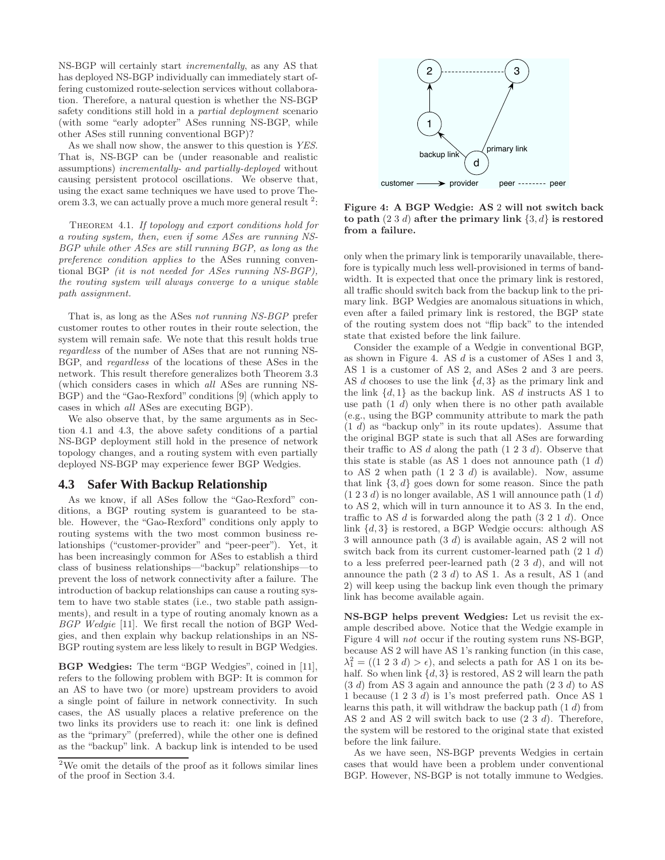NS-BGP will certainly start incrementally, as any AS that has deployed NS-BGP individually can immediately start offering customized route-selection services without collaboration. Therefore, a natural question is whether the NS-BGP safety conditions still hold in a partial deployment scenario (with some "early adopter" ASes running NS-BGP, while other ASes still running conventional BGP)?

As we shall now show, the answer to this question is YES. That is, NS-BGP can be (under reasonable and realistic assumptions) incrementally- and partially-deployed without causing persistent protocol oscillations. We observe that, using the exact same techniques we have used to prove Theorem 3.3, we can actually prove a much more general result  $2$ :

Theorem 4.1. If topology and export conditions hold for a routing system, then, even if some ASes are running NS-BGP while other ASes are still running BGP, as long as the preference condition applies to the ASes running conventional BGP (it is not needed for ASes running NS-BGP), the routing system will always converge to a unique stable path assignment.

That is, as long as the ASes not running NS-BGP prefer customer routes to other routes in their route selection, the system will remain safe. We note that this result holds true regardless of the number of ASes that are not running NS-BGP, and regardless of the locations of these ASes in the network. This result therefore generalizes both Theorem 3.3 (which considers cases in which all ASes are running NS-BGP) and the "Gao-Rexford" conditions [9] (which apply to cases in which all ASes are executing BGP).

We also observe that, by the same arguments as in Section 4.1 and 4.3, the above safety conditions of a partial NS-BGP deployment still hold in the presence of network topology changes, and a routing system with even partially deployed NS-BGP may experience fewer BGP Wedgies.

#### **4.3 Safer With Backup Relationship**

As we know, if all ASes follow the "Gao-Rexford" conditions, a BGP routing system is guaranteed to be stable. However, the "Gao-Rexford" conditions only apply to routing systems with the two most common business relationships ("customer-provider" and "peer-peer"). Yet, it has been increasingly common for ASes to establish a third class of business relationships—"backup" relationships—to prevent the loss of network connectivity after a failure. The introduction of backup relationships can cause a routing system to have two stable states (i.e., two stable path assignments), and result in a type of routing anomaly known as a BGP Wedgie [11]. We first recall the notion of BGP Wedgies, and then explain why backup relationships in an NS-BGP routing system are less likely to result in BGP Wedgies.

BGP Wedgies: The term "BGP Wedgies", coined in [11], refers to the following problem with BGP: It is common for an AS to have two (or more) upstream providers to avoid a single point of failure in network connectivity. In such cases, the AS usually places a relative preference on the two links its providers use to reach it: one link is defined as the "primary" (preferred), while the other one is defined as the "backup" link. A backup link is intended to be used



Figure 4: A BGP Wedgie: AS 2 will not switch back to path  $(2\ 3\ d)$  after the primary link  $\{3,d\}$  is restored from a failure.

only when the primary link is temporarily unavailable, therefore is typically much less well-provisioned in terms of bandwidth. It is expected that once the primary link is restored, all traffic should switch back from the backup link to the primary link. BGP Wedgies are anomalous situations in which, even after a failed primary link is restored, the BGP state of the routing system does not "flip back" to the intended state that existed before the link failure.

Consider the example of a Wedgie in conventional BGP, as shown in Figure 4. AS d is a customer of ASes 1 and 3, AS 1 is a customer of AS 2, and ASes 2 and 3 are peers. AS d chooses to use the link  $\{d, 3\}$  as the primary link and the link  $\{d, 1\}$  as the backup link. AS d instructs AS 1 to use path  $(1, d)$  only when there is no other path available (e.g., using the BGP community attribute to mark the path (1 d) as "backup only" in its route updates). Assume that the original BGP state is such that all ASes are forwarding their traffic to AS  $d$  along the path  $(1\ 2\ 3\ d)$ . Observe that this state is stable (as AS 1 does not announce path  $(1 d)$ to AS 2 when path  $(1\ 2\ 3\ d)$  is available). Now, assume that link  $\{3, d\}$  goes down for some reason. Since the path  $(1\ 2\ 3\ d)$  is no longer available, AS 1 will announce path  $(1\ d)$ to AS 2, which will in turn announce it to AS 3. In the end, traffic to AS  $d$  is forwarded along the path  $(3\ 2\ 1\ d)$ . Once link  $\{d, 3\}$  is restored, a BGP Wedgie occurs: although AS 3 will announce path (3 d) is available again, AS 2 will not switch back from its current customer-learned path (2 1 d) to a less preferred peer-learned path (2 3 d), and will not announce the path (2 3 d) to AS 1. As a result, AS 1 (and 2) will keep using the backup link even though the primary link has become available again.

NS-BGP helps prevent Wedgies: Let us revisit the example described above. Notice that the Wedgie example in Figure 4 will not occur if the routing system runs NS-BGP, because AS 2 will have AS 1's ranking function (in this case,  $\lambda_1^2 = ((1 2 3 d) > \epsilon)$ , and selects a path for AS 1 on its behalf. So when link  $\{d, 3\}$  is restored, AS 2 will learn the path  $(3 d)$  from AS 3 again and announce the path  $(2 3 d)$  to AS 1 because (1 2 3 d) is 1's most preferred path. Once AS 1 learns this path, it will withdraw the backup path  $(1, d)$  from AS 2 and AS 2 will switch back to use (2 3 d). Therefore, the system will be restored to the original state that existed before the link failure.

As we have seen, NS-BGP prevents Wedgies in certain cases that would have been a problem under conventional BGP. However, NS-BGP is not totally immune to Wedgies.

 $2$ We omit the details of the proof as it follows similar lines of the proof in Section 3.4.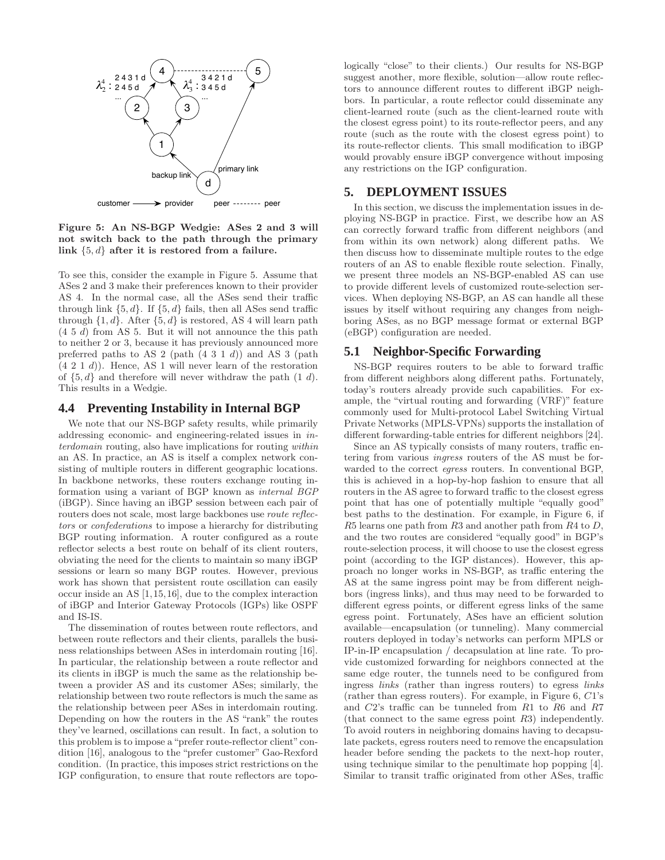

Figure 5: An NS-BGP Wedgie: ASes 2 and 3 will not switch back to the path through the primary link  $\{5, d\}$  after it is restored from a failure.

To see this, consider the example in Figure 5. Assume that ASes 2 and 3 make their preferences known to their provider AS 4. In the normal case, all the ASes send their traffic through link  $\{5, d\}$ . If  $\{5, d\}$  fails, then all ASes send traffic through  $\{1, d\}$ . After  $\{5, d\}$  is restored, AS 4 will learn path (4 5 d) from AS 5. But it will not announce the this path to neither 2 or 3, because it has previously announced more preferred paths to AS 2 (path  $(4\ 3\ 1\ d)$ ) and AS 3 (path  $(4\ 2\ 1\ d)$ . Hence, AS 1 will never learn of the restoration of  $\{5, d\}$  and therefore will never withdraw the path  $(1, d)$ . This results in a Wedgie.

#### **4.4 Preventing Instability in Internal BGP**

We note that our NS-BGP safety results, while primarily addressing economic- and engineering-related issues in interdomain routing, also have implications for routing within an AS. In practice, an AS is itself a complex network consisting of multiple routers in different geographic locations. In backbone networks, these routers exchange routing information using a variant of BGP known as internal BGP (iBGP). Since having an iBGP session between each pair of routers does not scale, most large backbones use route reflectors or confederations to impose a hierarchy for distributing BGP routing information. A router configured as a route reflector selects a best route on behalf of its client routers, obviating the need for the clients to maintain so many iBGP sessions or learn so many BGP routes. However, previous work has shown that persistent route oscillation can easily occur inside an AS [1,15,16], due to the complex interaction of iBGP and Interior Gateway Protocols (IGPs) like OSPF and IS-IS.

The dissemination of routes between route reflectors, and between route reflectors and their clients, parallels the business relationships between ASes in interdomain routing [16]. In particular, the relationship between a route reflector and its clients in iBGP is much the same as the relationship between a provider AS and its customer ASes; similarly, the relationship between two route reflectors is much the same as the relationship between peer ASes in interdomain routing. Depending on how the routers in the AS "rank" the routes they've learned, oscillations can result. In fact, a solution to this problem is to impose a "prefer route-reflector client" condition [16], analogous to the "prefer customer" Gao-Rexford condition. (In practice, this imposes strict restrictions on the IGP configuration, to ensure that route reflectors are topologically "close" to their clients.) Our results for NS-BGP suggest another, more flexible, solution—allow route reflectors to announce different routes to different iBGP neighbors. In particular, a route reflector could disseminate any client-learned route (such as the client-learned route with the closest egress point) to its route-reflector peers, and any route (such as the route with the closest egress point) to its route-reflector clients. This small modification to iBGP would provably ensure iBGP convergence without imposing any restrictions on the IGP configuration.

## **5. DEPLOYMENT ISSUES**

In this section, we discuss the implementation issues in deploying NS-BGP in practice. First, we describe how an AS can correctly forward traffic from different neighbors (and from within its own network) along different paths. We then discuss how to disseminate multiple routes to the edge routers of an AS to enable flexible route selection. Finally, we present three models an NS-BGP-enabled AS can use to provide different levels of customized route-selection services. When deploying NS-BGP, an AS can handle all these issues by itself without requiring any changes from neighboring ASes, as no BGP message format or external BGP (eBGP) configuration are needed.

#### **5.1 Neighbor-Specific Forwarding**

NS-BGP requires routers to be able to forward traffic from different neighbors along different paths. Fortunately, today's routers already provide such capabilities. For example, the "virtual routing and forwarding (VRF)" feature commonly used for Multi-protocol Label Switching Virtual Private Networks (MPLS-VPNs) supports the installation of different forwarding-table entries for different neighbors [24].

Since an AS typically consists of many routers, traffic entering from various ingress routers of the AS must be forwarded to the correct egress routers. In conventional BGP, this is achieved in a hop-by-hop fashion to ensure that all routers in the AS agree to forward traffic to the closest egress point that has one of potentially multiple "equally good" best paths to the destination. For example, in Figure 6, if  $R5$  learns one path from  $R3$  and another path from  $R4$  to  $D$ , and the two routes are considered "equally good" in BGP's route-selection process, it will choose to use the closest egress point (according to the IGP distances). However, this approach no longer works in NS-BGP, as traffic entering the AS at the same ingress point may be from different neighbors (ingress links), and thus may need to be forwarded to different egress points, or different egress links of the same egress point. Fortunately, ASes have an efficient solution available—encapsulation (or tunneling). Many commercial routers deployed in today's networks can perform MPLS or IP-in-IP encapsulation / decapsulation at line rate. To provide customized forwarding for neighbors connected at the same edge router, the tunnels need to be configured from ingress links (rather than ingress routers) to egress links (rather than egress routers). For example, in Figure 6, C1's and C2's traffic can be tunneled from R1 to R6 and R7 (that connect to the same egress point R3) independently. To avoid routers in neighboring domains having to decapsulate packets, egress routers need to remove the encapsulation header before sending the packets to the next-hop router, using technique similar to the penultimate hop popping [4]. Similar to transit traffic originated from other ASes, traffic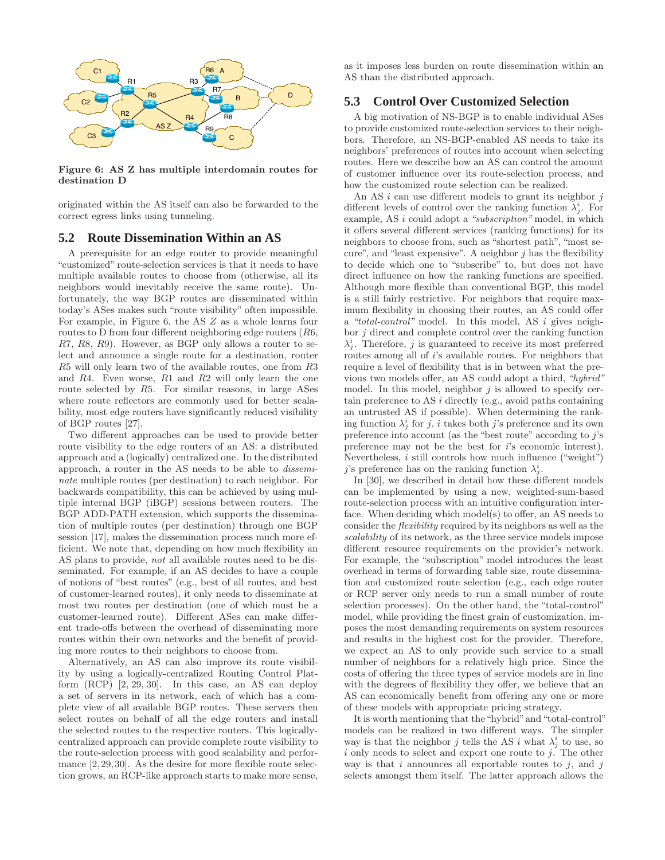

Figure 6: AS Z has multiple interdomain routes for destination D

originated within the AS itself can also be forwarded to the correct egress links using tunneling.

#### **5.2 Route Dissemination Within an AS**

A prerequisite for an edge router to provide meaningful "customized" route-selection services is that it needs to have multiple available routes to choose from (otherwise, all its neighbors would inevitably receive the same route). Unfortunately, the way BGP routes are disseminated within today's ASes makes such "route visibility" often impossible. For example, in Figure 6, the AS Z as a whole learns four routes to D from four different neighboring edge routers (R6, R7, R8, R9). However, as BGP only allows a router to select and announce a single route for a destination, router R5 will only learn two of the available routes, one from R3 and R4. Even worse, R1 and R2 will only learn the one route selected by R5. For similar reasons, in large ASes where route reflectors are commonly used for better scalability, most edge routers have significantly reduced visibility of BGP routes [27].

Two different approaches can be used to provide better route visibility to the edge routers of an AS: a distributed approach and a (logically) centralized one. In the distributed approach, a router in the AS needs to be able to disseminate multiple routes (per destination) to each neighbor. For backwards compatibility, this can be achieved by using multiple internal BGP (iBGP) sessions between routers. The BGP ADD-PATH extension, which supports the dissemination of multiple routes (per destination) through one BGP session [17], makes the dissemination process much more efficient. We note that, depending on how much flexibility an AS plans to provide, not all available routes need to be disseminated. For example, if an AS decides to have a couple of notions of "best routes" (e.g., best of all routes, and best of customer-learned routes), it only needs to disseminate at most two routes per destination (one of which must be a customer-learned route). Different ASes can make different trade-offs between the overhead of disseminating more routes within their own networks and the benefit of providing more routes to their neighbors to choose from.

Alternatively, an AS can also improve its route visibility by using a logically-centralized Routing Control Platform (RCP) [2, 29, 30]. In this case, an AS can deploy a set of servers in its network, each of which has a complete view of all available BGP routes. These servers then select routes on behalf of all the edge routers and install the selected routes to the respective routers. This logicallycentralized approach can provide complete route visibility to the route-selection process with good scalability and performance [2, 29, 30]. As the desire for more flexible route selection grows, an RCP-like approach starts to make more sense, as it imposes less burden on route dissemination within an AS than the distributed approach.

# **5.3 Control Over Customized Selection**

A big motivation of NS-BGP is to enable individual ASes to provide customized route-selection services to their neighbors. Therefore, an NS-BGP-enabled AS needs to take its neighbors' preferences of routes into account when selecting routes. Here we describe how an AS can control the amount of customer influence over its route-selection process, and how the customized route selection can be realized.

An AS  $i$  can use different models to grant its neighbor  $j$ different levels of control over the ranking function  $\lambda_j^i$ . For example, AS i could adopt a "subscription" model, in which it offers several different services (ranking functions) for its neighbors to choose from, such as "shortest path", "most secure", and "least expensive". A neighbor  $j$  has the flexibility to decide which one to "subscribe" to, but does not have direct influence on how the ranking functions are specified. Although more flexible than conventional BGP, this model is a still fairly restrictive. For neighbors that require maximum flexibility in choosing their routes, an AS could offer a "total-control" model. In this model, AS i gives neighbor j direct and complete control over the ranking function  $\lambda_j^i$ . Therefore, j is guaranteed to receive its most preferred routes among all of i's available routes. For neighbors that require a level of flexibility that is in between what the previous two models offer, an AS could adopt a third, "hybrid" model. In this model, neighbor  $j$  is allowed to specify certain preference to AS  $i$  directly (e.g., avoid paths containing an untrusted AS if possible). When determining the ranking function  $\lambda_j^i$  for j, i takes both j's preference and its own preference into account (as the "best route" according to  $j$ 's preference may not be the best for i's economic interest). Nevertheless, i still controls how much influence ("weight") j's preference has on the ranking function  $\lambda_j^i$ .

In [30], we described in detail how these different models can be implemented by using a new, weighted-sum-based route-selection process with an intuitive configuration interface. When deciding which model(s) to offer, an AS needs to consider the flexibility required by its neighbors as well as the scalability of its network, as the three service models impose different resource requirements on the provider's network. For example, the "subscription" model introduces the least overhead in terms of forwarding table size, route dissemination and customized route selection (e.g., each edge router or RCP server only needs to run a small number of route selection processes). On the other hand, the "total-control" model, while providing the finest grain of customization, imposes the most demanding requirements on system resources and results in the highest cost for the provider. Therefore, we expect an AS to only provide such service to a small number of neighbors for a relatively high price. Since the costs of offering the three types of service models are in line with the degrees of flexibility they offer, we believe that an AS can economically benefit from offering any one or more of these models with appropriate pricing strategy.

It is worth mentioning that the "hybrid" and "total-control" models can be realized in two different ways. The simpler way is that the neighbor j tells the AS i what  $\lambda_j^i$  to use, so  $i$  only needs to select and export one route to  $j$ . The other way is that i announces all exportable routes to j, and j selects amongst them itself. The latter approach allows the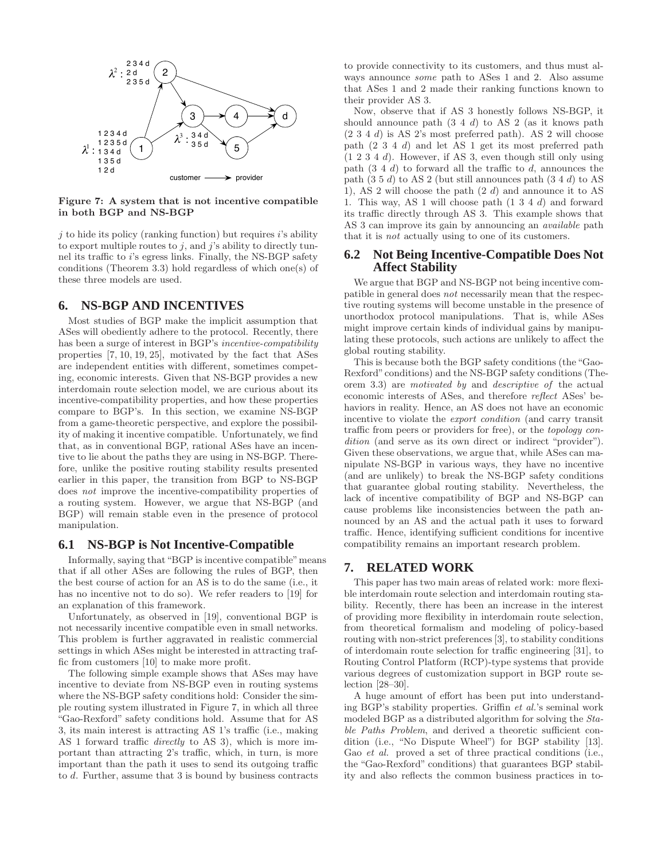

Figure 7: A system that is not incentive compatible in both BGP and NS-BGP

 $j$  to hide its policy (ranking function) but requires is ability to export multiple routes to  $j$ , and  $j$ 's ability to directly tunnel its traffic to i's egress links. Finally, the NS-BGP safety conditions (Theorem 3.3) hold regardless of which one(s) of these three models are used.

## **6. NS-BGP AND INCENTIVES**

Most studies of BGP make the implicit assumption that ASes will obediently adhere to the protocol. Recently, there has been a surge of interest in BGP's *incentive-compatibility* properties [7, 10, 19, 25], motivated by the fact that ASes are independent entities with different, sometimes competing, economic interests. Given that NS-BGP provides a new interdomain route selection model, we are curious about its incentive-compatibility properties, and how these properties compare to BGP's. In this section, we examine NS-BGP from a game-theoretic perspective, and explore the possibility of making it incentive compatible. Unfortunately, we find that, as in conventional BGP, rational ASes have an incentive to lie about the paths they are using in NS-BGP. Therefore, unlike the positive routing stability results presented earlier in this paper, the transition from BGP to NS-BGP does not improve the incentive-compatibility properties of a routing system. However, we argue that NS-BGP (and BGP) will remain stable even in the presence of protocol manipulation.

#### **6.1 NS-BGP is Not Incentive-Compatible**

Informally, saying that "BGP is incentive compatible"means that if all other ASes are following the rules of BGP, then the best course of action for an AS is to do the same (i.e., it has no incentive not to do so). We refer readers to [19] for an explanation of this framework.

Unfortunately, as observed in [19], conventional BGP is not necessarily incentive compatible even in small networks. This problem is further aggravated in realistic commercial settings in which ASes might be interested in attracting traffic from customers [10] to make more profit.

The following simple example shows that ASes may have incentive to deviate from NS-BGP even in routing systems where the NS-BGP safety conditions hold: Consider the simple routing system illustrated in Figure 7, in which all three "Gao-Rexford" safety conditions hold. Assume that for AS 3, its main interest is attracting AS 1's traffic (i.e., making AS 1 forward traffic directly to AS 3), which is more important than attracting 2's traffic, which, in turn, is more important than the path it uses to send its outgoing traffic to d. Further, assume that 3 is bound by business contracts to provide connectivity to its customers, and thus must always announce some path to ASes 1 and 2. Also assume that ASes 1 and 2 made their ranking functions known to their provider AS 3.

Now, observe that if AS 3 honestly follows NS-BGP, it should announce path  $(3 4 d)$  to AS 2 (as it knows path  $(2\ 3\ 4\ d)$  is AS 2's most preferred path). AS 2 will choose path (2 3 4 d) and let AS 1 get its most preferred path (1 2 3 4 d). However, if AS 3, even though still only using path  $(3, 4, d)$  to forward all the traffic to d, announces the path  $(3 5 d)$  to AS 2 (but still announces path  $(3 4 d)$  to AS 1), AS 2 will choose the path  $(2 d)$  and announce it to AS 1. This way, AS 1 will choose path (1 3 4 d) and forward its traffic directly through AS 3. This example shows that AS 3 can improve its gain by announcing an available path that it is not actually using to one of its customers.

# **6.2 Not Being Incentive-Compatible Does Not Affect Stability**

We argue that BGP and NS-BGP not being incentive compatible in general does not necessarily mean that the respective routing systems will become unstable in the presence of unorthodox protocol manipulations. That is, while ASes might improve certain kinds of individual gains by manipulating these protocols, such actions are unlikely to affect the global routing stability.

This is because both the BGP safety conditions (the "Gao-Rexford" conditions) and the NS-BGP safety conditions (Theorem 3.3) are motivated by and descriptive of the actual economic interests of ASes, and therefore reflect ASes' behaviors in reality. Hence, an AS does not have an economic incentive to violate the export condition (and carry transit traffic from peers or providers for free), or the topology condition (and serve as its own direct or indirect "provider"). Given these observations, we argue that, while ASes can manipulate NS-BGP in various ways, they have no incentive (and are unlikely) to break the NS-BGP safety conditions that guarantee global routing stability. Nevertheless, the lack of incentive compatibility of BGP and NS-BGP can cause problems like inconsistencies between the path announced by an AS and the actual path it uses to forward traffic. Hence, identifying sufficient conditions for incentive compatibility remains an important research problem.

# **7. RELATED WORK**

This paper has two main areas of related work: more flexible interdomain route selection and interdomain routing stability. Recently, there has been an increase in the interest of providing more flexibility in interdomain route selection, from theoretical formalism and modeling of policy-based routing with non-strict preferences [3], to stability conditions of interdomain route selection for traffic engineering [31], to Routing Control Platform (RCP)-type systems that provide various degrees of customization support in BGP route selection [28–30].

A huge amount of effort has been put into understanding BGP's stability properties. Griffin et al.'s seminal work modeled BGP as a distributed algorithm for solving the Stable Paths Problem, and derived a theoretic sufficient condition (i.e., "No Dispute Wheel") for BGP stability [13]. Gao *et al.* proved a set of three practical conditions (i.e., the "Gao-Rexford" conditions) that guarantees BGP stability and also reflects the common business practices in to